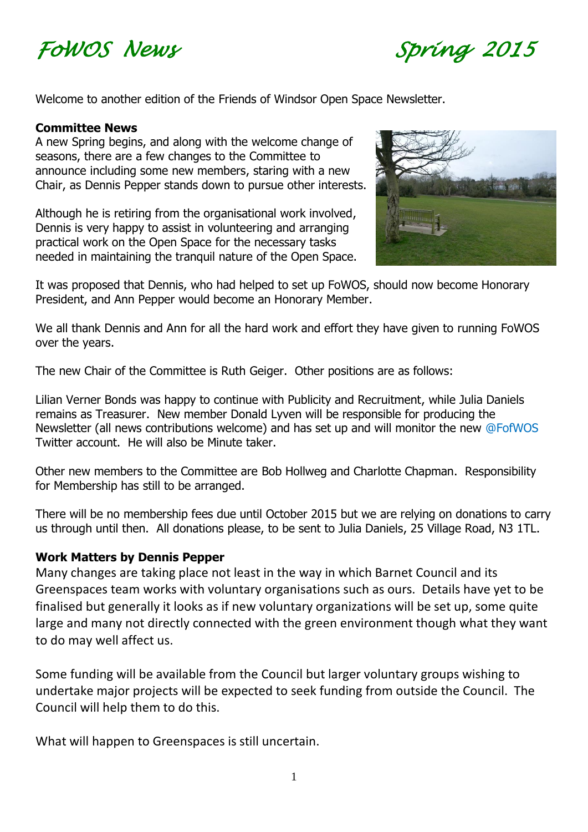



Welcome to another edition of the Friends of Windsor Open Space Newsletter.

#### **Committee News**

A new Spring begins, and along with the welcome change of seasons, there are a few changes to the Committee to announce including some new members, staring with a new Chair, as Dennis Pepper stands down to pursue other interests.

Although he is retiring from the organisational work involved, Dennis is very happy to assist in volunteering and arranging practical work on the Open Space for the necessary tasks needed in maintaining the tranquil nature of the Open Space.



It was proposed that Dennis, who had helped to set up FoWOS, should now become Honorary President, and Ann Pepper would become an Honorary Member.

We all thank Dennis and Ann for all the hard work and effort they have given to running FoWOS over the years.

The new Chair of the Committee is Ruth Geiger. Other positions are as follows:

Lilian Verner Bonds was happy to continue with Publicity and Recruitment, while Julia Daniels remains as Treasurer. New member Donald Lyven will be responsible for producing the Newsletter (all news contributions welcome) and has set up and will monitor the new @FofWOS Twitter account. He will also be Minute taker.

Other new members to the Committee are Bob Hollweg and Charlotte Chapman. Responsibility for Membership has still to be arranged.

There will be no membership fees due until October 2015 but we are relying on donations to carry us through until then. All donations please, to be sent to Julia Daniels, 25 Village Road, N3 1TL.

#### **Work Matters by Dennis Pepper**

Many changes are taking place not least in the way in which Barnet Council and its Greenspaces team works with voluntary organisations such as ours. Details have yet to be finalised but generally it looks as if new voluntary organizations will be set up, some quite large and many not directly connected with the green environment though what they want to do may well affect us.

Some funding will be available from the Council but larger voluntary groups wishing to undertake major projects will be expected to seek funding from outside the Council. The Council will help them to do this.

What will happen to Greenspaces is still uncertain.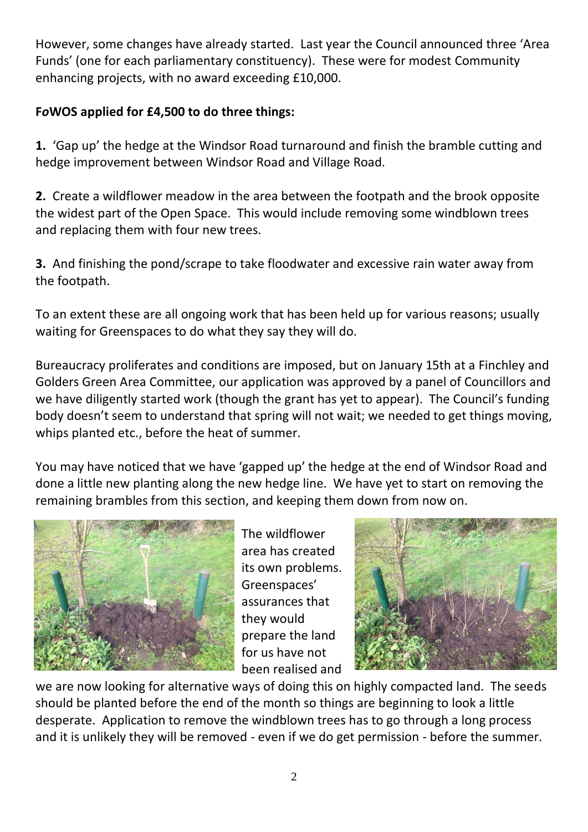However, some changes have already started. Last year the Council announced three 'Area Funds' (one for each parliamentary constituency). These were for modest Community enhancing projects, with no award exceeding £10,000.

#### **F***o***WOS applied for £4,500 to do three things:**

**1.** 'Gap up' the hedge at the Windsor Road turnaround and finish the bramble cutting and hedge improvement between Windsor Road and Village Road.

**2.** Create a wildflower meadow in the area between the footpath and the brook opposite the widest part of the Open Space. This would include removing some windblown trees and replacing them with four new trees.

**3.** And finishing the pond/scrape to take floodwater and excessive rain water away from the footpath.

To an extent these are all ongoing work that has been held up for various reasons; usually waiting for Greenspaces to do what they say they will do.

Bureaucracy proliferates and conditions are imposed, but on January 15th at a Finchley and Golders Green Area Committee, our application was approved by a panel of Councillors and we have diligently started work (though the grant has yet to appear). The Council's funding body doesn't seem to understand that spring will not wait; we needed to get things moving, whips planted etc., before the heat of summer.

You may have noticed that we have 'gapped up' the hedge at the end of Windsor Road and done a little new planting along the new hedge line. We have yet to start on removing the remaining brambles from this section, and keeping them down from now on.



The wildflower area has created its own problems. Greenspaces' assurances that they would prepare the land for us have not been realised and



we are now looking for alternative ways of doing this on highly compacted land. The seeds should be planted before the end of the month so things are beginning to look a little desperate. Application to remove the windblown trees has to go through a long process and it is unlikely they will be removed - even if we do get permission - before the summer.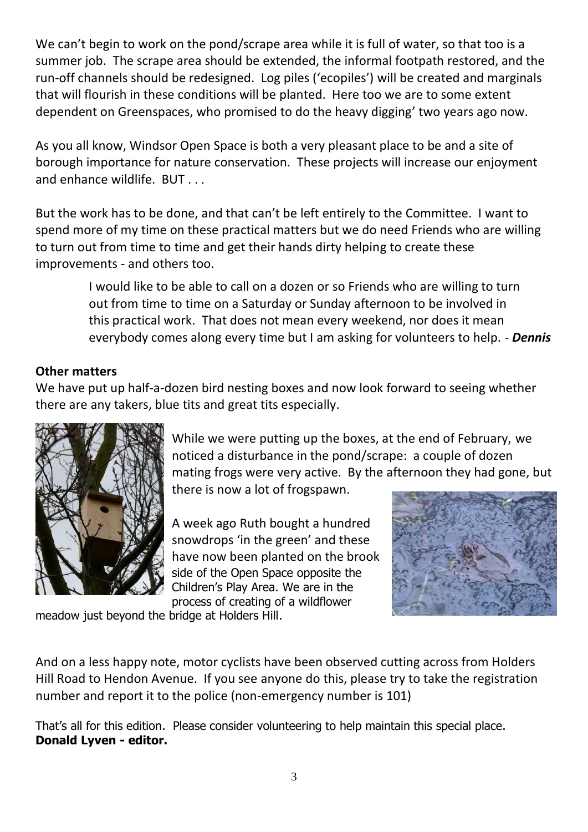We can't begin to work on the pond/scrape area while it is full of water, so that too is a summer job. The scrape area should be extended, the informal footpath restored, and the run-off channels should be redesigned. Log piles ('ecopiles') will be created and marginals that will flourish in these conditions will be planted. Here too we are to some extent dependent on Greenspaces, who promised to do the heavy digging' two years ago now.

As you all know, Windsor Open Space is both a very pleasant place to be and a site of borough importance for nature conservation. These projects will increase our enjoyment and enhance wildlife. BUT . . .

But the work has to be done, and that can't be left entirely to the Committee. I want to spend more of my time on these practical matters but we do need Friends who are willing to turn out from time to time and get their hands dirty helping to create these improvements - and others too.

> I would like to be able to call on a dozen or so Friends who are willing to turn out from time to time on a Saturday or Sunday afternoon to be involved in this practical work. That does not mean every weekend, nor does it mean everybody comes along every time but I am asking for volunteers to help. - *Dennis*

#### **Other matters**

We have put up half-a-dozen bird nesting boxes and now look forward to seeing whether there are any takers, blue tits and great tits especially.



While we were putting up the boxes, at the end of February, we noticed a disturbance in the pond/scrape: a couple of dozen mating frogs were very active. By the afternoon they had gone, but there is now a lot of frogspawn.

A week ago Ruth bought a hundred snowdrops 'in the green' and these have now been planted on the brook side of the Open Space opposite the Children's Play Area. We are in the process of creating of a wildflower



meadow just beyond the bridge at Holders Hill.

And on a less happy note, motor cyclists have been observed cutting across from Holders Hill Road to Hendon Avenue. If you see anyone do this, please try to take the registration number and report it to the police (non-emergency number is 101)

That's all for this edition. Please consider volunteering to help maintain this special place. **Donald Lyven - editor.**